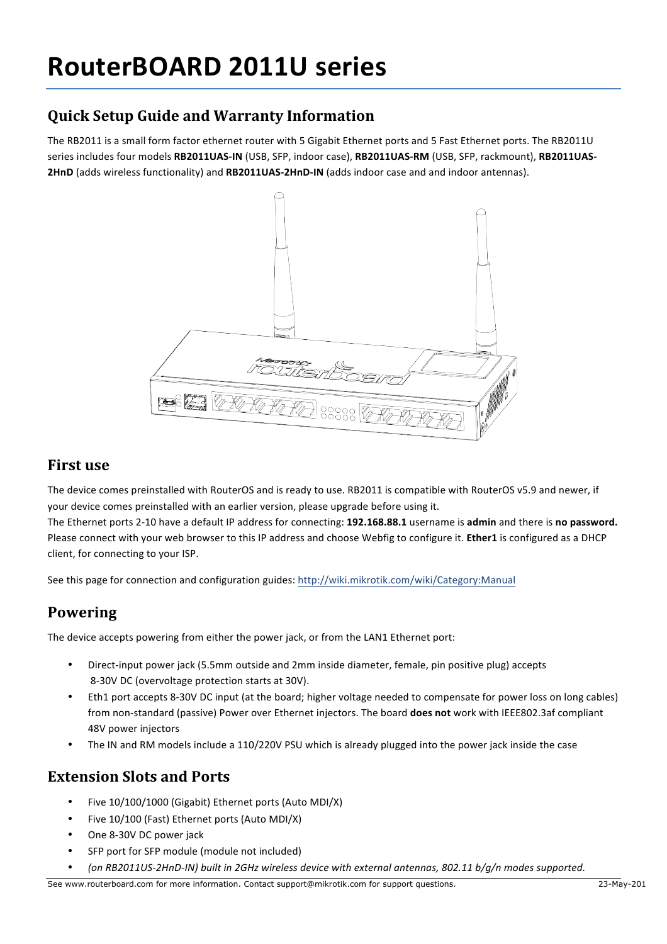# **RouterBOARD 2011U series**

## **Quick Setup Guide and Warranty Information**

The RB2011 is a small form factor ethernet router with 5 Gigabit Ethernet ports and 5 Fast Ethernet ports. The RB2011U series includes four models RB2011UAS-IN (USB, SFP, indoor case), RB2011UAS-RM (USB, SFP, rackmount), RB2011UAS-**2HnD** (adds wireless functionality) and RB2011UAS-2HnD-IN (adds indoor case and and indoor antennas).



#### **First use**

The device comes preinstalled with RouterOS and is ready to use. RB2011 is compatible with RouterOS v5.9 and newer, if your device comes preinstalled with an earlier version, please upgrade before using it.

The Ethernet ports 2-10 have a default IP address for connecting: 192.168.88.1 username is admin and there is no password. Please connect with your web browser to this IP address and choose Webfig to configure it. **Ether1** is configured as a DHCP client, for connecting to your ISP.

See this page for connection and configuration guides: http://wiki.mikrotik.com/wiki/Category:Manual

#### **Powering**

The device accepts powering from either the power jack, or from the LAN1 Ethernet port:

- Direct-input power jack (5.5mm outside and 2mm inside diameter, female, pin positive plug) accepts 8-30V DC (overvoltage protection starts at 30V).
- Eth1 port accepts 8-30V DC input (at the board; higher voltage needed to compensate for power loss on long cables) from non-standard (passive) Power over Ethernet injectors. The board **does not** work with IEEE802.3af compliant 48V power injectors
- The IN and RM models include a 110/220V PSU which is already plugged into the power jack inside the case

#### **Extension Slots and Ports**

- Five 10/100/1000 (Gigabit) Ethernet ports (Auto MDI/X)
- Five 10/100 (Fast) Ethernet ports (Auto MDI/X)
- One 8-30V DC power jack
- SFP port for SFP module (module not included)
- (on RB2011US-2HnD-IN) built in 2GHz wireless device with external antennas, 802.11 b/q/n modes supported.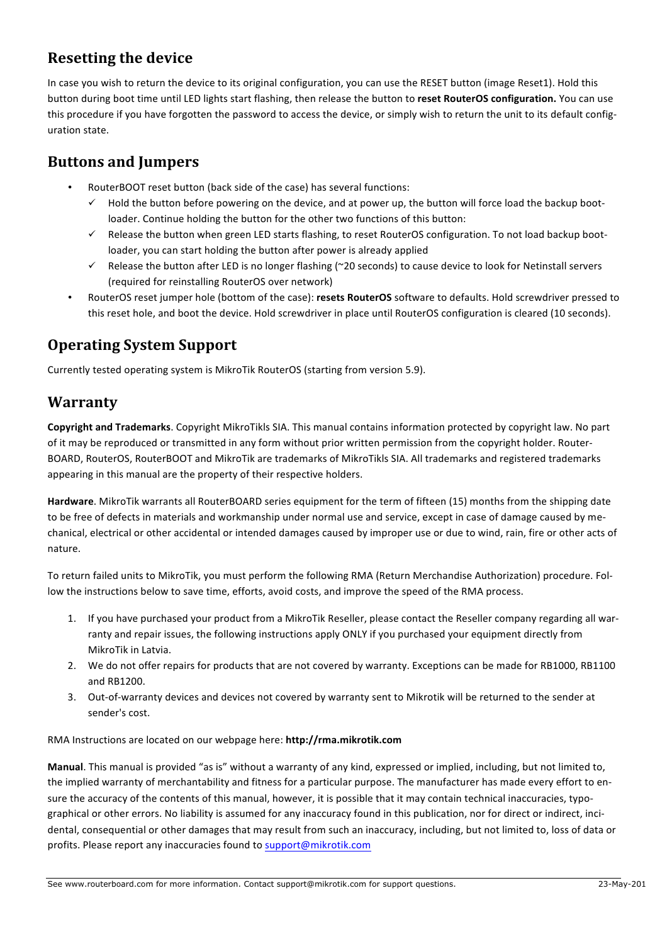### **Resetting the device**

In case you wish to return the device to its original configuration, you can use the RESET button (image Reset1). Hold this button during boot time until LED lights start flashing, then release the button to reset RouterOS configuration. You can use this procedure if you have forgotten the password to access the device, or simply wish to return the unit to its default configuration state.

#### **Buttons and Jumpers**

- RouterBOOT reset button (back side of the case) has several functions:
	- Hold the button before powering on the device, and at power up, the button will force load the backup bootloader. Continue holding the button for the other two functions of this button:
	- $\checkmark$  Release the button when green LED starts flashing, to reset RouterOS configuration. To not load backup bootloader, you can start holding the button after power is already applied
	- $\checkmark$  Release the button after LED is no longer flashing (~20 seconds) to cause device to look for Netinstall servers (required for reinstalling RouterOS over network)
- RouterOS reset jumper hole (bottom of the case): resets RouterOS software to defaults. Hold screwdriver pressed to this reset hole, and boot the device. Hold screwdriver in place until RouterOS configuration is cleared (10 seconds).

## **Operating System Support**

Currently tested operating system is MikroTik RouterOS (starting from version 5.9).

#### **Warranty**

**Copyright and Trademarks**. Copyright MikroTikls SIA. This manual contains information protected by copyright law. No part of it may be reproduced or transmitted in any form without prior written permission from the copyright holder. Router-BOARD, RouterOS, RouterBOOT and MikroTik are trademarks of MikroTikls SIA. All trademarks and registered trademarks appearing in this manual are the property of their respective holders.

Hardware. MikroTik warrants all RouterBOARD series equipment for the term of fifteen (15) months from the shipping date to be free of defects in materials and workmanship under normal use and service, except in case of damage caused by mechanical, electrical or other accidental or intended damages caused by improper use or due to wind, rain, fire or other acts of nature.

To return failed units to MikroTik, you must perform the following RMA (Return Merchandise Authorization) procedure. Follow the instructions below to save time, efforts, avoid costs, and improve the speed of the RMA process.

- 1. If you have purchased your product from a MikroTik Reseller, please contact the Reseller company regarding all warranty and repair issues, the following instructions apply ONLY if you purchased your equipment directly from MikroTik in Latvia.
- 2. We do not offer repairs for products that are not covered by warranty. Exceptions can be made for RB1000, RB1100 and RB1200.
- 3. Out-of-warranty devices and devices not covered by warranty sent to Mikrotik will be returned to the sender at sender's cost.

RMA Instructions are located on our webpage here: http://rma.mikrotik.com

**Manual**. This manual is provided "as is" without a warranty of any kind, expressed or implied, including, but not limited to, the implied warranty of merchantability and fitness for a particular purpose. The manufacturer has made every effort to ensure the accuracy of the contents of this manual, however, it is possible that it may contain technical inaccuracies, typographical or other errors. No liability is assumed for any inaccuracy found in this publication, nor for direct or indirect, incidental, consequential or other damages that may result from such an inaccuracy, including, but not limited to, loss of data or profits. Please report any inaccuracies found to support@mikrotik.com